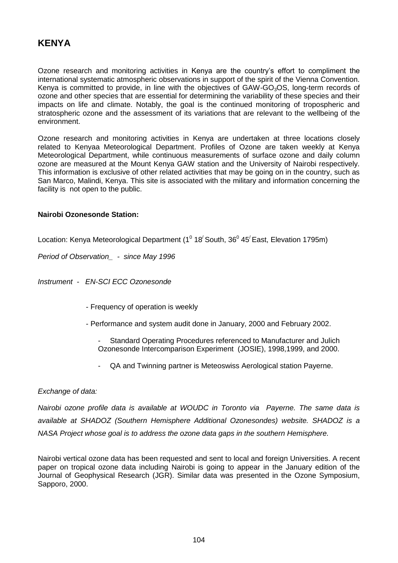# **KENYA**

Ozone research and monitoring activities in Kenya are the country's effort to compliment the international systematic atmospheric observations in support of the spirit of the Vienna Convention. Kenya is committed to provide, in line with the objectives of  $GAW-GO<sub>3</sub>OS$ , long-term records of ozone and other species that are essential for determining the variability of these species and their impacts on life and climate. Notably, the goal is the continued monitoring of tropospheric and stratospheric ozone and the assessment of its variations that are relevant to the wellbeing of the environment.

Ozone research and monitoring activities in Kenya are undertaken at three locations closely related to Kenyaa Meteorological Department. Profiles of Ozone are taken weekly at Kenya Meteorological Department, while continuous measurements of surface ozone and daily column ozone are measured at the Mount Kenya GAW station and the University of Nairobi respectively. This information is exclusive of other related activities that may be going on in the country, such as San Marco, Malindi, Kenya. This site is associated with the military and information concerning the facility is not open to the public.

## **Nairobi Ozonesonde Station:**

Location: Kenya Meteorological Department (1 $^{\text{o}}$  18 $^{\prime}$ South, 36 $^{\text{o}}$  45 $^{\prime}$ East, Elevation 1795m)

*Period of Observation\_ - since May 1996*

*Instrument - EN-SCI ECC Ozonesonde*

- Frequency of operation is weekly
- Performance and system audit done in January, 2000 and February 2002.
	- Standard Operating Procedures referenced to Manufacturer and Julich Ozonesonde Intercomparison Experiment (JOSIE), 1998,1999, and 2000.
	- QA and Twinning partner is Meteoswiss Aerological station Payerne.

## *Exchange of data:*

*Nairobi ozone profile data is available at WOUDC in Toronto via Payerne. The same data is available at SHADOZ (Southern Hemisphere Additional Ozonesondes) website. SHADOZ is a NASA Project whose goal is to address the ozone data gaps in the southern Hemisphere.* 

Nairobi vertical ozone data has been requested and sent to local and foreign Universities. A recent paper on tropical ozone data including Nairobi is going to appear in the January edition of the Journal of Geophysical Research (JGR). Similar data was presented in the Ozone Symposium, Sapporo, 2000.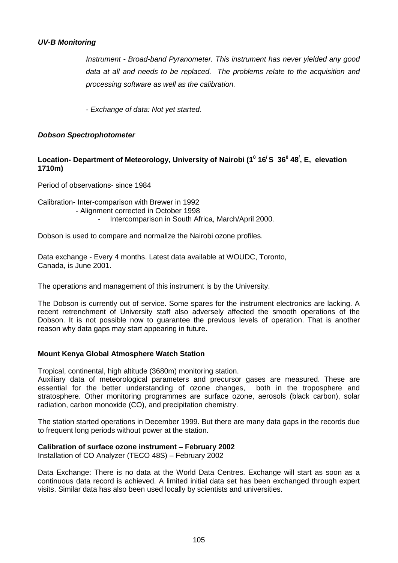## *UV-B Monitoring*

*Instrument - Broad-band Pyranometer. This instrument has never yielded any good data at all and needs to be replaced. The problems relate to the acquisition and processing software as well as the calibration.*

*- Exchange of data: Not yet started.* 

## *Dobson Spectrophotometer*

# **Location- Department of Meteorology, University of Nairobi (1<sup>0</sup> 16/ S 36<sup>0</sup> 48/ , E, elevation 1710m)**

Period of observations- since 1984

Calibration- Inter-comparison with Brewer in 1992 - Alignment corrected in October 1998 - Intercomparison in South Africa, March/April 2000.

Dobson is used to compare and normalize the Nairobi ozone profiles.

Data exchange - Every 4 months. Latest data available at WOUDC, Toronto, Canada, is June 2001.

The operations and management of this instrument is by the University.

The Dobson is currently out of service. Some spares for the instrument electronics are lacking. A recent retrenchment of University staff also adversely affected the smooth operations of the Dobson. It is not possible now to guarantee the previous levels of operation. That is another reason why data gaps may start appearing in future.

#### **Mount Kenya Global Atmosphere Watch Station**

Tropical, continental, high altitude (3680m) monitoring station.

Auxiliary data of meteorological parameters and precursor gases are measured. These are essential for the better understanding of ozone changes, both in the troposphere and stratosphere. Other monitoring programmes are surface ozone, aerosols (black carbon), solar radiation, carbon monoxide (CO), and precipitation chemistry.

The station started operations in December 1999. But there are many data gaps in the records due to frequent long periods without power at the station.

## **Calibration of surface ozone instrument – February 2002**

Installation of CO Analyzer (TECO 48S) – February 2002

Data Exchange: There is no data at the World Data Centres. Exchange will start as soon as a continuous data record is achieved. A limited initial data set has been exchanged through expert visits. Similar data has also been used locally by scientists and universities.